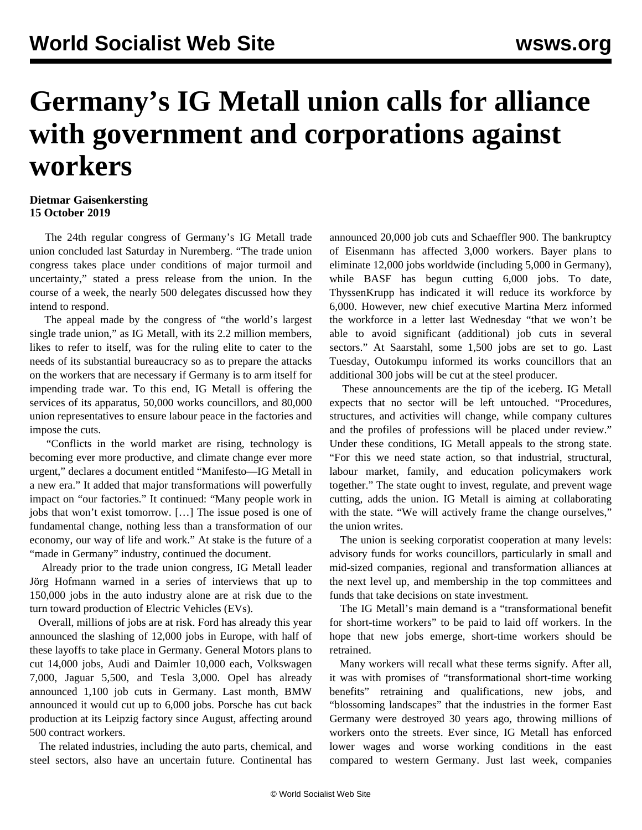## **Germany's IG Metall union calls for alliance with government and corporations against workers**

## **Dietmar Gaisenkersting 15 October 2019**

 The 24th regular congress of Germany's IG Metall trade union concluded last Saturday in Nuremberg. "The trade union congress takes place under conditions of major turmoil and uncertainty," stated a press release from the union. In the course of a week, the nearly 500 delegates discussed how they intend to respond.

 The appeal made by the congress of "the world's largest single trade union," as IG Metall, with its 2.2 million members, likes to refer to itself, was for the ruling elite to cater to the needs of its substantial bureaucracy so as to prepare the attacks on the workers that are necessary if Germany is to arm itself for impending trade war. To this end, IG Metall is offering the services of its apparatus, 50,000 works councillors, and 80,000 union representatives to ensure labour peace in the factories and impose the cuts.

 "Conflicts in the world market are rising, technology is becoming ever more productive, and climate change ever more urgent," declares a document entitled "Manifesto—IG Metall in a new era." It added that major transformations will powerfully impact on "our factories." It continued: "Many people work in jobs that won't exist tomorrow. […] The issue posed is one of fundamental change, nothing less than a transformation of our economy, our way of life and work." At stake is the future of a "made in Germany" industry, continued the document.

 Already prior to the trade union congress, IG Metall leader Jörg Hofmann warned in a series of interviews that up to 150,000 jobs in the auto industry alone are at risk due to the turn toward production of Electric Vehicles (EVs).

 Overall, millions of jobs are at risk. Ford has already this year announced the slashing of 12,000 jobs in Europe, with half of these layoffs to take place in Germany. General Motors plans to cut 14,000 jobs, Audi and Daimler 10,000 each, Volkswagen 7,000, Jaguar 5,500, and Tesla 3,000. Opel has already announced 1,100 job cuts in Germany. Last month, BMW announced it would cut up to 6,000 jobs. Porsche has cut back production at its Leipzig factory since August, affecting around 500 contract workers.

 The related industries, including the auto parts, chemical, and steel sectors, also have an uncertain future. Continental has

announced 20,000 job cuts and Schaeffler 900. The bankruptcy of Eisenmann has affected 3,000 workers. Bayer plans to eliminate 12,000 jobs worldwide (including 5,000 in Germany), while BASF has begun cutting 6,000 jobs. To date, ThyssenKrupp has indicated it will reduce its workforce by 6,000. However, new chief executive Martina Merz informed the workforce in a letter last Wednesday "that we won't be able to avoid significant (additional) job cuts in several sectors." At Saarstahl, some 1,500 jobs are set to go. Last Tuesday, Outokumpu informed its works councillors that an additional 300 jobs will be cut at the steel producer.

 These announcements are the tip of the iceberg. IG Metall expects that no sector will be left untouched. "Procedures, structures, and activities will change, while company cultures and the profiles of professions will be placed under review." Under these conditions, IG Metall appeals to the strong state. "For this we need state action, so that industrial, structural, labour market, family, and education policymakers work together." The state ought to invest, regulate, and prevent wage cutting, adds the union. IG Metall is aiming at collaborating with the state. "We will actively frame the change ourselves," the union writes.

 The union is seeking corporatist cooperation at many levels: advisory funds for works councillors, particularly in small and mid-sized companies, regional and transformation alliances at the next level up, and membership in the top committees and funds that take decisions on state investment.

 The IG Metall's main demand is a "transformational benefit for short-time workers" to be paid to laid off workers. In the hope that new jobs emerge, short-time workers should be retrained.

 Many workers will recall what these terms signify. After all, it was with promises of "transformational short-time working benefits" retraining and qualifications, new jobs, and "blossoming landscapes" that the industries in the former East Germany were destroyed 30 years ago, throwing millions of workers onto the streets. Ever since, IG Metall has enforced lower wages and worse working conditions in the east compared to western Germany. Just last week, companies